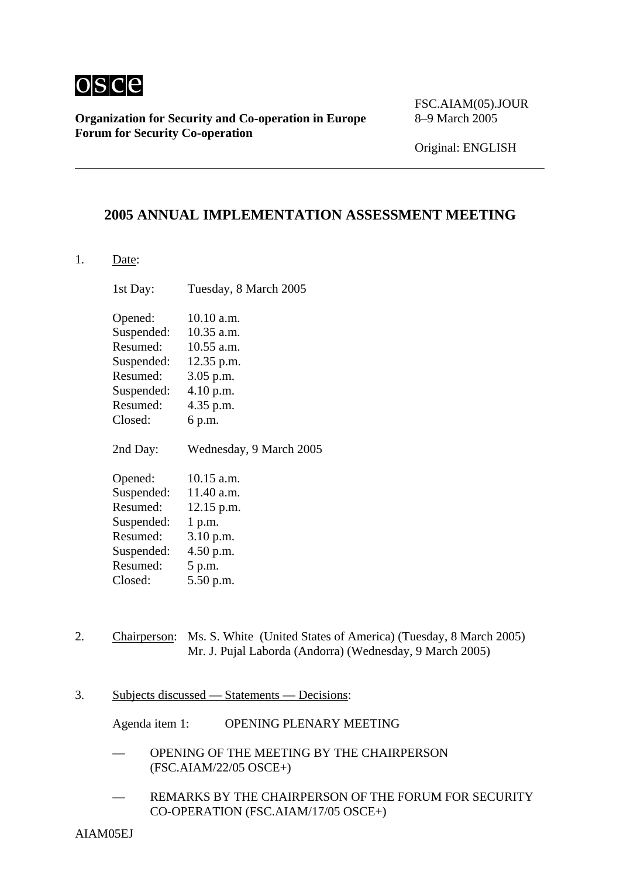

**Organization for Security and Co-operation in Europe** 8–9 March 2005 **Forum for Security Co-operation**

FSC.AIAM(05).JOUR

Original: ENGLISH

## **2005 ANNUAL IMPLEMENTATION ASSESSMENT MEETING**

1. Date:

1st Day: Tuesday, 8 March 2005 Opened: 10.10 a.m. Suspended: 10.35 a.m. Resumed: 10.55 a.m. Suspended: 12.35 p.m. Resumed: 3.05 p.m. Suspended: 4.10 p.m. Resumed: 4.35 p.m. Closed: 6 p.m. 2nd Day: Wednesday, 9 March 2005 Opened: 10.15 a.m. Suspended: 11.40 a.m. Resumed: 12.15 p.m. Suspended: 1 p.m. Resumed: 3.10 p.m. Suspended: 4.50 p.m. Resumed: 5 p.m. Closed: 5.50 p.m.

- 2. Chairperson: Ms. S. White (United States of America) (Tuesday, 8 March 2005) Mr. J. Pujal Laborda (Andorra) (Wednesday, 9 March 2005)
- 3. Subjects discussed Statements Decisions:

Agenda item 1: OPENING PLENARY MEETING

- OPENING OF THE MEETING BY THE CHAIRPERSON (FSC.AIAM/22/05 OSCE+)
- REMARKS BY THE CHAIRPERSON OF THE FORUM FOR SECURITY CO-OPERATION (FSC.AIAM/17/05 OSCE+)

AIAM05EJ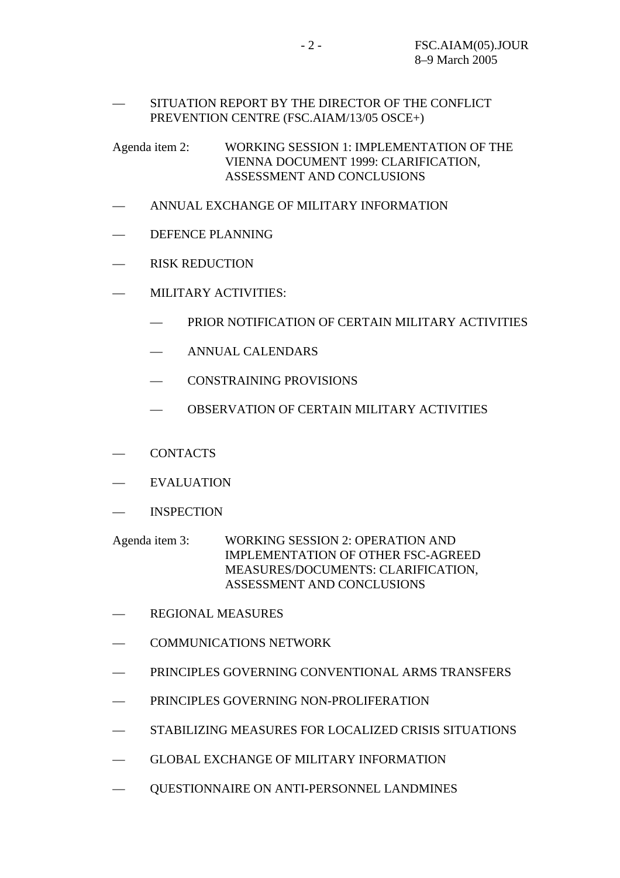## — SITUATION REPORT BY THE DIRECTOR OF THE CONFLICT PREVENTION CENTRE (FSC.AIAM/13/05 OSCE+)

Agenda item 2: WORKING SESSION 1: IMPLEMENTATION OF THE VIENNA DOCUMENT 1999: CLARIFICATION, ASSESSMENT AND CONCLUSIONS

- ANNUAL EXCHANGE OF MILITARY INFORMATION
- DEFENCE PLANNING
- RISK REDUCTION
- MILITARY ACTIVITIES:
	- PRIOR NOTIFICATION OF CERTAIN MILITARY ACTIVITIES
	- ANNUAL CALENDARS
	- CONSTRAINING PROVISIONS
	- OBSERVATION OF CERTAIN MILITARY ACTIVITIES
- CONTACTS
- EVALUATION
- INSPECTION

Agenda item 3: WORKING SESSION 2: OPERATION AND IMPLEMENTATION OF OTHER FSC-AGREED MEASURES/DOCUMENTS: CLARIFICATION, ASSESSMENT AND CONCLUSIONS

- REGIONAL MEASURES
- COMMUNICATIONS NETWORK
- PRINCIPLES GOVERNING CONVENTIONAL ARMS TRANSFERS
- PRINCIPLES GOVERNING NON-PROLIFERATION
- STABILIZING MEASURES FOR LOCALIZED CRISIS SITUATIONS
- GLOBAL EXCHANGE OF MILITARY INFORMATION
- QUESTIONNAIRE ON ANTI-PERSONNEL LANDMINES